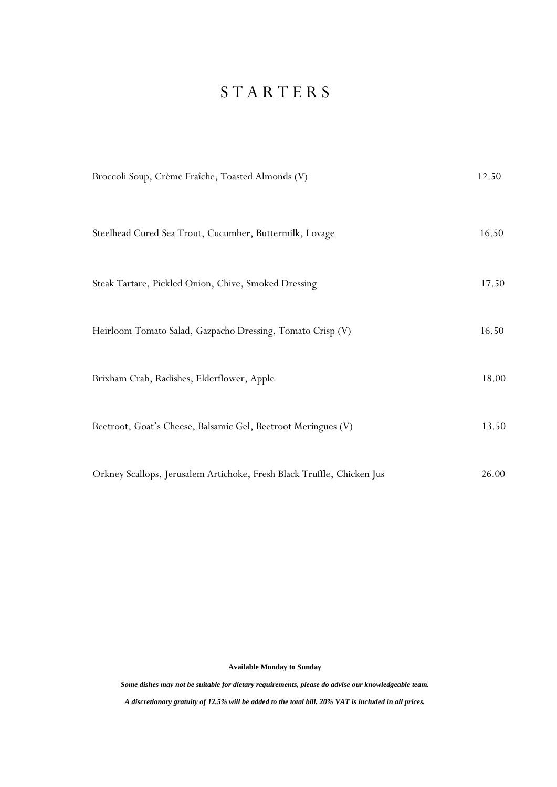## S T A R T E R S

| Broccoli Soup, Crème Fraîche, Toasted Almonds (V)                      | 12.50 |
|------------------------------------------------------------------------|-------|
| Steelhead Cured Sea Trout, Cucumber, Buttermilk, Lovage                | 16.50 |
| Steak Tartare, Pickled Onion, Chive, Smoked Dressing                   | 17.50 |
| Heirloom Tomato Salad, Gazpacho Dressing, Tomato Crisp (V)             | 16.50 |
| Brixham Crab, Radishes, Elderflower, Apple                             | 18.00 |
| Beetroot, Goat's Cheese, Balsamic Gel, Beetroot Meringues (V)          | 13.50 |
| Orkney Scallops, Jerusalem Artichoke, Fresh Black Truffle, Chicken Jus | 26.00 |

**Available Monday to Sunday**

*Some dishes may not be suitable for dietary requirements, please do advise our knowledgeable team.*

*A discretionary gratuity of 12.5% will be added to the total bill. 20% VAT is included in all prices.*